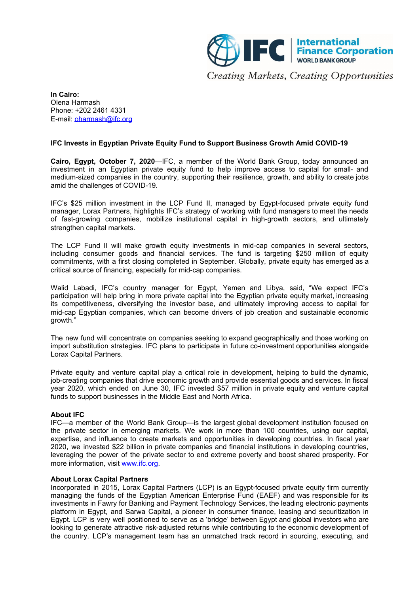

**In Cairo:** Olena Harmash Phone: +202 2461 4331 E-mail: [oharmash@ifc.org](mailto:oharmash@ifc.org)

## **IFC Invests in Egyptian Private Equity Fund to Support Business Growth Amid COVID-19**

**Cairo, Egypt, October 7, 2020**—IFC, a member of the World Bank Group, today announced an investment in an Egyptian private equity fund to help improve access to capital for small- and medium-sized companies in the country, supporting their resilience, growth, and ability to create jobs amid the challenges of COVID-19.

IFC's \$25 million investment in the LCP Fund II, managed by Egypt-focused private equity fund manager, Lorax Partners, highlights IFC's strategy of working with fund managers to meet the needs of fast-growing companies, mobilize institutional capital in high-growth sectors, and ultimately strengthen capital markets.

The LCP Fund II will make growth equity investments in mid-cap companies in several sectors, including consumer goods and financial services. The fund is targeting \$250 million of equity commitments, with a first closing completed in September. Globally, private equity has emerged as a critical source of financing, especially for mid-cap companies.

Walid Labadi, IFC's country manager for Egypt, Yemen and Libya, said, "We expect IFC's participation will help bring in more private capital into the Egyptian private equity market, increasing its competitiveness, diversifying the investor base, and ultimately improving access to capital for mid-cap Egyptian companies, which can become drivers of job creation and sustainable economic growth."

The new fund will concentrate on companies seeking to expand geographically and those working on import substitution strategies. IFC plans to participate in future co-investment opportunities alongside Lorax Capital Partners.

Private equity and venture capital play a critical role in development, helping to build the dynamic, job-creating companies that drive economic growth and provide essential goods and services. In fiscal year 2020, which ended on June 30, IFC invested \$57 million in private equity and venture capital funds to support businesses in the Middle East and North Africa.

## **About IFC**

IFC—a member of the World Bank Group—is the largest global development institution focused on the private sector in emerging markets. We work in more than 100 countries, using our capital, expertise, and influence to create markets and opportunities in developing countries. In fiscal year 2020, we invested \$22 billion in private companies and financial institutions in developing countries, leveraging the power of the private sector to end extreme poverty and boost shared prosperity. For more information, visit [www.ifc.org](https://www.ifc.org/).

## **About Lorax Capital Partners**

Incorporated in 2015, Lorax Capital Partners (LCP) is an Egypt-focused private equity firm currently managing the funds of the Egyptian American Enterprise Fund (EAEF) and was responsible for its investments in Fawry for Banking and Payment Technology Services, the leading electronic payments platform in Egypt, and Sarwa Capital, a pioneer in consumer finance, leasing and securitization in Egypt. LCP is very well positioned to serve as a 'bridge' between Egypt and global investors who are looking to generate attractive risk-adjusted returns while contributing to the economic development of the country. LCP's management team has an unmatched track record in sourcing, executing, and